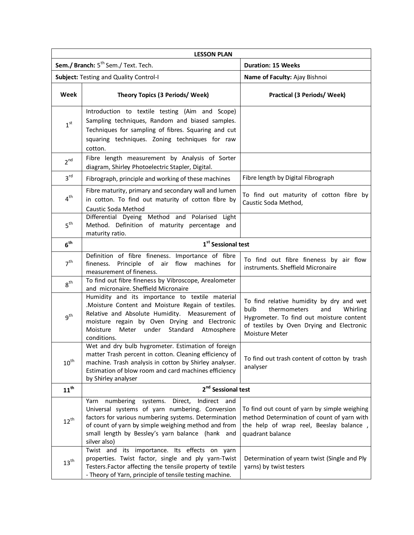| <b>LESSON PLAN</b>                              |                                                                                                                                                                                                                                                                                                   |                                                                                                                                                                                                |  |
|-------------------------------------------------|---------------------------------------------------------------------------------------------------------------------------------------------------------------------------------------------------------------------------------------------------------------------------------------------------|------------------------------------------------------------------------------------------------------------------------------------------------------------------------------------------------|--|
| Sem./ Branch: 5 <sup>th</sup> Sem./ Text. Tech. |                                                                                                                                                                                                                                                                                                   | <b>Duration: 15 Weeks</b>                                                                                                                                                                      |  |
| Subject: Testing and Quality Control-I          |                                                                                                                                                                                                                                                                                                   | Name of Faculty: Ajay Bishnoi                                                                                                                                                                  |  |
| Week                                            | <b>Theory Topics (3 Periods/ Week)</b>                                                                                                                                                                                                                                                            | Practical (3 Periods/ Week)                                                                                                                                                                    |  |
| 1 <sup>st</sup>                                 | Introduction to textile testing (Aim and Scope)<br>Sampling techniques, Random and biased samples.<br>Techniques for sampling of fibres. Squaring and cut<br>squaring techniques. Zoning techniques for raw<br>cotton.                                                                            |                                                                                                                                                                                                |  |
| 2 <sup>nd</sup>                                 | Fibre length measurement by Analysis of Sorter<br>diagram, Shirley Photoelectric Stapler, Digital.                                                                                                                                                                                                |                                                                                                                                                                                                |  |
| 3 <sup>rd</sup>                                 | Fibrograph, principle and working of these machines                                                                                                                                                                                                                                               | Fibre length by Digital Fibrograph                                                                                                                                                             |  |
| $4^{\text{th}}$                                 | Fibre maturity, primary and secondary wall and lumen<br>in cotton. To find out maturity of cotton fibre by<br>Caustic Soda Method                                                                                                                                                                 | To find out maturity of cotton fibre by<br>Caustic Soda Method,                                                                                                                                |  |
| 5 <sup>th</sup>                                 | Differential Dyeing Method and Polarised Light<br>Method. Definition of maturity percentage and<br>maturity ratio.                                                                                                                                                                                |                                                                                                                                                                                                |  |
| $6^{\text{th}}$                                 | 1 <sup>st</sup> Sessional test                                                                                                                                                                                                                                                                    |                                                                                                                                                                                                |  |
| 7 <sup>th</sup>                                 | Definition of fibre fineness. Importance of fibre<br>Principle of<br>air flow<br>fineness.<br>machines for<br>measurement of fineness.                                                                                                                                                            | To find out fibre fineness by air flow<br>instruments. Sheffield Micronaire                                                                                                                    |  |
| 8 <sup>th</sup>                                 | To find out fibre fineness by Vibroscope, Arealometer<br>and micronaire. Sheffield Micronaire                                                                                                                                                                                                     |                                                                                                                                                                                                |  |
| 9 <sup>th</sup>                                 | Humidity and its importance to textile material<br>.Moisture Content and Moisture Regain of textiles.<br>Relative and Absolute Humidity. Measurement of<br>moisture regain by Oven Drying and Electronic<br>Standard Atmosphere<br>Moisture<br>Meter under<br>conditions.                         | To find relative humidity by dry and wet<br>bulb<br>thermometers<br>Whirling<br>and<br>Hygrometer. To find out moisture content<br>of textiles by Oven Drying and Electronic<br>Moisture Meter |  |
| $10^{\rm th}$                                   | Wet and dry bulb hygrometer. Estimation of foreign<br>matter Trash percent in cotton. Cleaning efficiency of<br>machine. Trash analysis in cotton by Shirley analyser.<br>Estimation of blow room and card machines efficiency<br>by Shirley analyser                                             | To find out trash content of cotton by trash<br>analyser                                                                                                                                       |  |
| $11^{th}$                                       | 2 <sup>nd</sup> Sessional test                                                                                                                                                                                                                                                                    |                                                                                                                                                                                                |  |
| $12^{\text{th}}$                                | numbering<br>systems.<br>Direct,<br>Indirect<br>Yarn<br>and<br>Universal systems of yarn numbering. Conversion<br>factors for various numbering systems. Determination<br>of count of yarn by simple weighing method and from<br>small length by Bessley's yarn balance (hank and<br>silver also) | To find out count of yarn by simple weighing<br>method Determination of count of yarn with<br>the help of wrap reel, Beeslay balance,<br>quadrant balance                                      |  |
| $13^{\text{th}}$                                | Twist and its importance. Its effects on yarn<br>properties. Twist factor, single and ply yarn-Twist<br>Testers. Factor affecting the tensile property of textile<br>- Theory of Yarn, principle of tensile testing machine.                                                                      | Determination of yearn twist (Single and Ply<br>yarns) by twist testers                                                                                                                        |  |